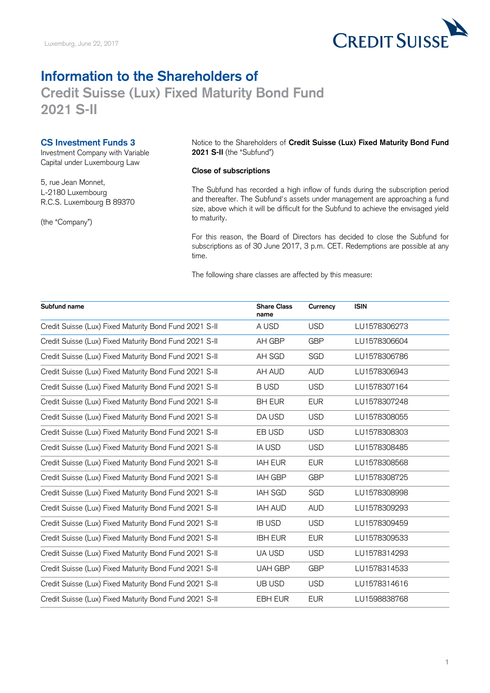

## **Credit Suisse (Lux) Fixed Maturity Bond Fund Information to the Shareholders of 2021 S-II**

## **CS Investment Funds 3**

Investment Company with Variable Capital under Luxembourg Law

5, rue Jean Monnet, L-2180 Luxembourg R.C.S. Luxembourg B 89370

(the "Company")

Notice to the Shareholders of **Credit Suisse (Lux) Fixed Maturity Bond Fund 2021 S-II** (the "Subfund")

## **Close of subscriptions**

 The Subfund has recorded a high inflow of funds during the subscription period size, above which it will be difficult for the Subfund to achieve the envisaged yield and thereafter. The Subfund's assets under management are approaching a fund to maturity.

 For this reason, the Board of Directors has decided to close the Subfund for subscriptions as of 30 June 2017, 3 p.m. CET. Redemptions are possible at any time.

The following share classes are affected by this measure:

| Subfund name                                           | <b>Share Class</b><br>name | Currency   | <b>ISIN</b>  |
|--------------------------------------------------------|----------------------------|------------|--------------|
| Credit Suisse (Lux) Fixed Maturity Bond Fund 2021 S-II | A USD                      | <b>USD</b> | LU1578306273 |
| Credit Suisse (Lux) Fixed Maturity Bond Fund 2021 S-II | AH GBP                     | <b>GBP</b> | LU1578306604 |
| Credit Suisse (Lux) Fixed Maturity Bond Fund 2021 S-II | AH SGD                     | SGD        | LU1578306786 |
| Credit Suisse (Lux) Fixed Maturity Bond Fund 2021 S-II | AH AUD                     | <b>AUD</b> | LU1578306943 |
| Credit Suisse (Lux) Fixed Maturity Bond Fund 2021 S-II | <b>BUSD</b>                | <b>USD</b> | LU1578307164 |
| Credit Suisse (Lux) Fixed Maturity Bond Fund 2021 S-II | <b>BH EUR</b>              | <b>EUR</b> | LU1578307248 |
| Credit Suisse (Lux) Fixed Maturity Bond Fund 2021 S-II | DA USD                     | <b>USD</b> | LU1578308055 |
| Credit Suisse (Lux) Fixed Maturity Bond Fund 2021 S-II | EB USD                     | <b>USD</b> | LU1578308303 |
| Credit Suisse (Lux) Fixed Maturity Bond Fund 2021 S-II | <b>IA USD</b>              | <b>USD</b> | LU1578308485 |
| Credit Suisse (Lux) Fixed Maturity Bond Fund 2021 S-II | <b>IAH EUR</b>             | <b>EUR</b> | LU1578308568 |
| Credit Suisse (Lux) Fixed Maturity Bond Fund 2021 S-II | <b>IAH GBP</b>             | <b>GBP</b> | LU1578308725 |
| Credit Suisse (Lux) Fixed Maturity Bond Fund 2021 S-II | <b>IAH SGD</b>             | SGD        | LU1578308998 |
| Credit Suisse (Lux) Fixed Maturity Bond Fund 2021 S-II | <b>IAH AUD</b>             | <b>AUD</b> | LU1578309293 |
| Credit Suisse (Lux) Fixed Maturity Bond Fund 2021 S-II | <b>IB USD</b>              | <b>USD</b> | LU1578309459 |
| Credit Suisse (Lux) Fixed Maturity Bond Fund 2021 S-II | <b>IBH EUR</b>             | <b>EUR</b> | LU1578309533 |
| Credit Suisse (Lux) Fixed Maturity Bond Fund 2021 S-II | UA USD                     | <b>USD</b> | LU1578314293 |
| Credit Suisse (Lux) Fixed Maturity Bond Fund 2021 S-II | <b>UAH GBP</b>             | <b>GBP</b> | LU1578314533 |
| Credit Suisse (Lux) Fixed Maturity Bond Fund 2021 S-II | UB USD                     | <b>USD</b> | LU1578314616 |
| Credit Suisse (Lux) Fixed Maturity Bond Fund 2021 S-II | <b>EBH EUR</b>             | <b>EUR</b> | LU1598838768 |